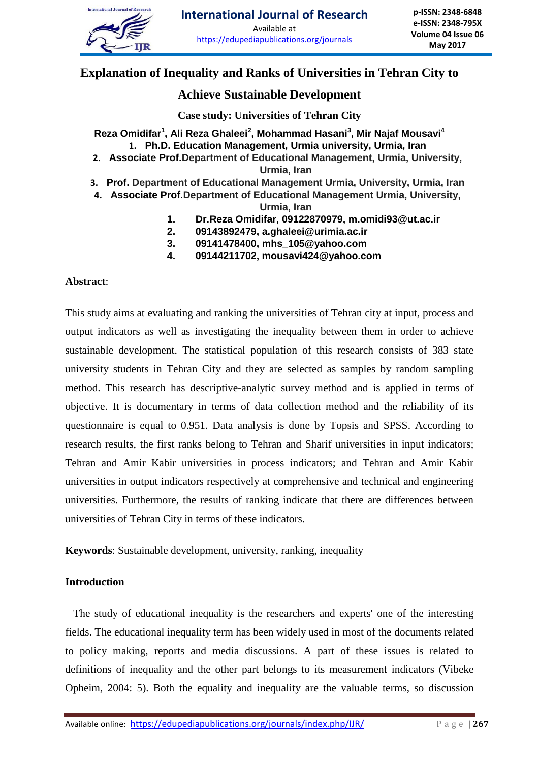

# **Explanation of Inequality and Ranks of Universities in Tehran City to**

# **Achieve Sustainable Development**

**Case study: Universities of Tehran City**

**Reza Omidifar<sup>1</sup> , Ali Reza Ghaleei<sup>2</sup> , Mohammad Hasani<sup>3</sup> , Mir Najaf Mousavi<sup>4</sup> 1. Ph.D. Education Management, Urmia university, Urmia, Iran**

- **2. Associate Prof.Department of Educational Management, Urmia, University, Urmia, Iran**
- **3. Prof. Department of Educational Management Urmia, University, Urmia, Iran**
- **4. Associate Prof.Department of Educational Management Urmia, University,**

**Urmia, Iran**

- **1. Dr.Reza Omidifar, 09122870979, [m.omidi93@ut.ac.ir](mailto:m.omidi93@ut.ac.ir)**
- **2. 09143892479, [a.ghaleei@urimia.ac.ir](mailto:a.ghaleei@urimia.ac.ir)**
- **3. 09141478400, [mhs\\_105@yahoo.com](mailto:mhs_105@yahoo.com)**
- **4. 09144211702, mousavi424@yahoo.com**

#### **Abstract**:

This study aims at evaluating and ranking the universities of Tehran city at input, process and output indicators as well as investigating the inequality between them in order to achieve sustainable development. The statistical population of this research consists of 383 state university students in Tehran City and they are selected as samples by random sampling method. This research has descriptive-analytic survey method and is applied in terms of objective. It is documentary in terms of data collection method and the reliability of its questionnaire is equal to 0.951. Data analysis is done by Topsis and SPSS. According to research results, the first ranks belong to Tehran and Sharif universities in input indicators; Tehran and Amir Kabir universities in process indicators; and Tehran and Amir Kabir universities in output indicators respectively at comprehensive and technical and engineering universities. Furthermore, the results of ranking indicate that there are differences between universities of Tehran City in terms of these indicators.

**Keywords**: Sustainable development, university, ranking, inequality

# **Introduction**

 The study of educational inequality is the researchers and experts' one of the interesting fields. The educational inequality term has been widely used in most of the documents related to policy making, reports and media discussions. A part of these issues is related to definitions of inequality and the other part belongs to its measurement indicators (Vibeke Opheim, 2004: 5). Both the equality and inequality are the valuable terms, so discussion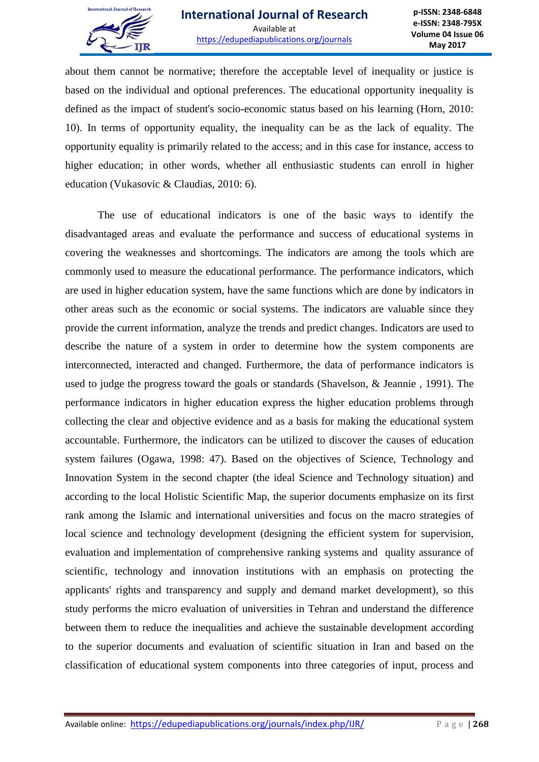

about them cannot be normative; therefore the acceptable level of inequality or justice is based on the individual and optional preferences. The educational opportunity inequality is defined as the impact of student's socio-economic status based on his learning (Horn, 2010: 10). In terms of opportunity equality, the inequality can be as the lack of equality. The opportunity equality is primarily related to the access; and in this case for instance, access to higher education; in other words, whether all enthusiastic students can enroll in higher education (Vukasovic & Claudias, 2010: 6).

The use of educational indicators is one of the basic ways to identify the disadvantaged areas and evaluate the performance and success of educational systems in covering the weaknesses and shortcomings. The indicators are among the tools which are commonly used to measure the educational performance. The performance indicators, which are used in higher education system, have the same functions which are done by indicators in other areas such as the economic or social systems. The indicators are valuable since they provide the current information, analyze the trends and predict changes. Indicators are used to describe the nature of a system in order to determine how the system components are interconnected, interacted and changed. Furthermore, the data of performance indicators is used to judge the progress toward the goals or standards (Shavelson, & Jeannie , 1991). The performance indicators in higher education express the higher education problems through collecting the clear and objective evidence and as a basis for making the educational system accountable. Furthermore, the indicators can be utilized to discover the causes of education system failures (Ogawa, 1998: 47). Based on the objectives of Science, Technology and Innovation System in the second chapter (the ideal Science and Technology situation) and according to the local Holistic Scientific Map, the superior documents emphasize on its first rank among the Islamic and international universities and focus on the macro strategies of local science and technology development (designing the efficient system for supervision, evaluation and implementation of comprehensive ranking systems and quality assurance of scientific, technology and innovation institutions with an emphasis on protecting the applicants' rights and transparency and supply and demand market development), so this study performs the micro evaluation of universities in Tehran and understand the difference between them to reduce the inequalities and achieve the sustainable development according to the superior documents and evaluation of scientific situation in Iran and based on the classification of educational system components into three categories of input, process and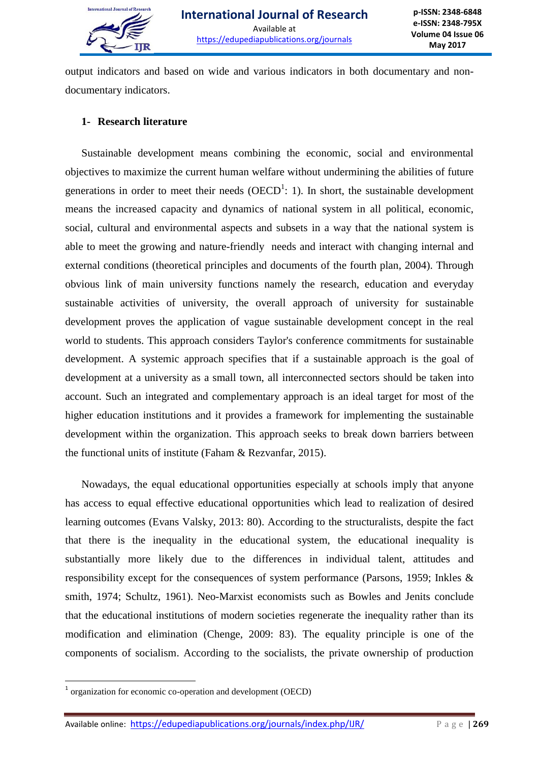

output indicators and based on wide and various indicators in both documentary and nondocumentary indicators.

# **1- Research literature**

Sustainable development means combining the economic, social and environmental objectives to maximize the current human welfare without undermining the abilities of future generations in order to meet their needs ( $OECD<sup>1</sup>$ : 1). In short, the sustainable development means the increased capacity and dynamics of national system in all political, economic, social, cultural and environmental aspects and subsets in a way that the national system is able to meet the growing and nature-friendly needs and interact with changing internal and external conditions (theoretical principles and documents of the fourth plan, 2004). Through obvious link of main university functions namely the research, education and everyday sustainable activities of university, the overall approach of university for sustainable development proves the application of vague sustainable development concept in the real world to students. This approach considers Taylor's conference commitments for sustainable development. A systemic approach specifies that if a sustainable approach is the goal of development at a university as a small town, all interconnected sectors should be taken into account. Such an integrated and complementary approach is an ideal target for most of the higher education institutions and it provides a framework for implementing the sustainable development within the organization. This approach seeks to break down barriers between the functional units of institute (Faham & Rezvanfar, 2015).

Nowadays, the equal educational opportunities especially at schools imply that anyone has access to equal effective educational opportunities which lead to realization of desired learning outcomes (Evans Valsky, 2013: 80). According to the structuralists, despite the fact that there is the inequality in the educational system, the educational inequality is substantially more likely due to the differences in individual talent, attitudes and responsibility except for the consequences of system performance (Parsons, 1959; Inkles & smith, 1974; Schultz, 1961). Neo-Marxist economists such as Bowles and Jenits conclude that the educational institutions of modern societies regenerate the inequality rather than its modification and elimination (Chenge, 2009: 83). The equality principle is one of the components of socialism. According to the socialists, the private ownership of production

**.** 

<sup>&</sup>lt;sup>1</sup> organization for economic co-operation and development (OECD)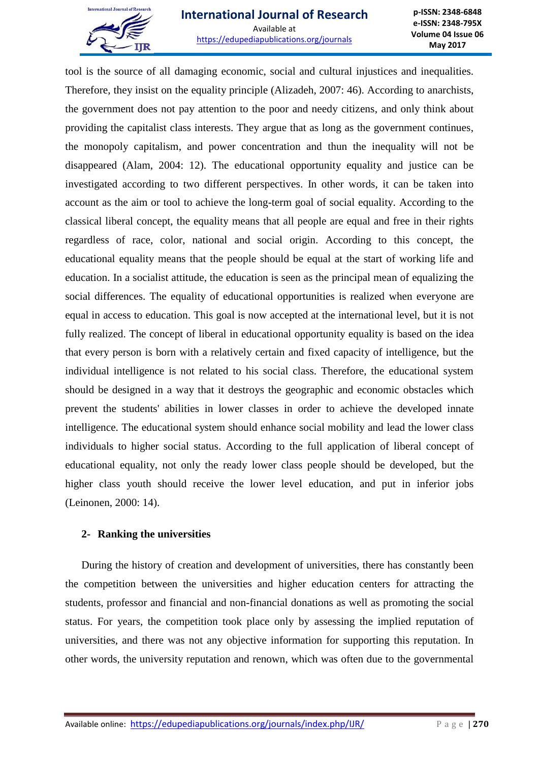

tool is the source of all damaging economic, social and cultural injustices and inequalities. Therefore, they insist on the equality principle (Alizadeh, 2007: 46). According to anarchists, the government does not pay attention to the poor and needy citizens, and only think about providing the capitalist class interests. They argue that as long as the government continues, the monopoly capitalism, and power concentration and thun the inequality will not be disappeared (Alam, 2004: 12). The educational opportunity equality and justice can be investigated according to two different perspectives. In other words, it can be taken into account as the aim or tool to achieve the long-term goal of social equality. According to the classical liberal concept, the equality means that all people are equal and free in their rights regardless of race, color, national and social origin. According to this concept, the educational equality means that the people should be equal at the start of working life and education. In a socialist attitude, the education is seen as the principal mean of equalizing the social differences. The equality of educational opportunities is realized when everyone are equal in access to education. This goal is now accepted at the international level, but it is not fully realized. The concept of liberal in educational opportunity equality is based on the idea that every person is born with a relatively certain and fixed capacity of intelligence, but the individual intelligence is not related to his social class. Therefore, the educational system should be designed in a way that it destroys the geographic and economic obstacles which prevent the students' abilities in lower classes in order to achieve the developed innate intelligence. The educational system should enhance social mobility and lead the lower class individuals to higher social status. According to the full application of liberal concept of educational equality, not only the ready lower class people should be developed, but the higher class youth should receive the lower level education, and put in inferior jobs (Leinonen, 2000: 14).

# **2- Ranking the universities**

During the history of creation and development of universities, there has constantly been the competition between the universities and higher education centers for attracting the students, professor and financial and non-financial donations as well as promoting the social status. For years, the competition took place only by assessing the implied reputation of universities, and there was not any objective information for supporting this reputation. In other words, the university reputation and renown, which was often due to the governmental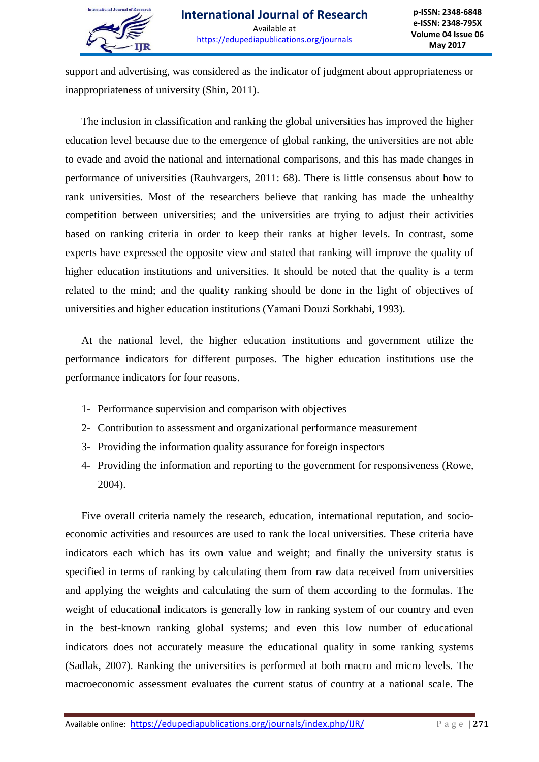

support and advertising, was considered as the indicator of judgment about appropriateness or inappropriateness of university (Shin, 2011).

The inclusion in classification and ranking the global universities has improved the higher education level because due to the emergence of global ranking, the universities are not able to evade and avoid the national and international comparisons, and this has made changes in performance of universities (Rauhvargers, 2011: 68). There is little consensus about how to rank universities. Most of the researchers believe that ranking has made the unhealthy competition between universities; and the universities are trying to adjust their activities based on ranking criteria in order to keep their ranks at higher levels. In contrast, some experts have expressed the opposite view and stated that ranking will improve the quality of higher education institutions and universities. It should be noted that the quality is a term related to the mind; and the quality ranking should be done in the light of objectives of universities and higher education institutions (Yamani Douzi Sorkhabi, 1993).

At the national level, the higher education institutions and government utilize the performance indicators for different purposes. The higher education institutions use the performance indicators for four reasons.

- 1- Performance supervision and comparison with objectives
- 2- Contribution to assessment and organizational performance measurement
- 3- Providing the information quality assurance for foreign inspectors
- 4- Providing the information and reporting to the government for responsiveness (Rowe, 2004).

Five overall criteria namely the research, education, international reputation, and socioeconomic activities and resources are used to rank the local universities. These criteria have indicators each which has its own value and weight; and finally the university status is specified in terms of ranking by calculating them from raw data received from universities and applying the weights and calculating the sum of them according to the formulas. The weight of educational indicators is generally low in ranking system of our country and even in the best-known ranking global systems; and even this low number of educational indicators does not accurately measure the educational quality in some ranking systems (Sadlak, 2007). Ranking the universities is performed at both macro and micro levels. The macroeconomic assessment evaluates the current status of country at a national scale. The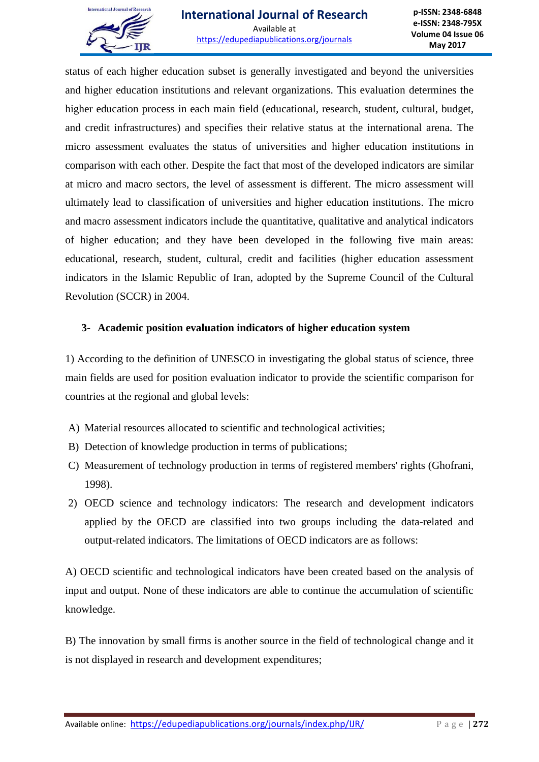

status of each higher education subset is generally investigated and beyond the universities and higher education institutions and relevant organizations. This evaluation determines the higher education process in each main field (educational, research, student, cultural, budget, and credit infrastructures) and specifies their relative status at the international arena. The micro assessment evaluates the status of universities and higher education institutions in comparison with each other. Despite the fact that most of the developed indicators are similar at micro and macro sectors, the level of assessment is different. The micro assessment will ultimately lead to classification of universities and higher education institutions. The micro and macro assessment indicators include the quantitative, qualitative and analytical indicators of higher education; and they have been developed in the following five main areas: educational, research, student, cultural, credit and facilities (higher education assessment indicators in the Islamic Republic of Iran, adopted by the Supreme Council of the Cultural Revolution (SCCR) in 2004.

### **3- Academic position evaluation indicators of higher education system**

1) According to the definition of UNESCO in investigating the global status of science, three main fields are used for position evaluation indicator to provide the scientific comparison for countries at the regional and global levels:

- A) Material resources allocated to scientific and technological activities;
- B) Detection of knowledge production in terms of publications;
- C) Measurement of technology production in terms of registered members' rights (Ghofrani, 1998).
- 2) OECD science and technology indicators: The research and development indicators applied by the OECD are classified into two groups including the data-related and output-related indicators. The limitations of OECD indicators are as follows:

A) OECD scientific and technological indicators have been created based on the analysis of input and output. None of these indicators are able to continue the accumulation of scientific knowledge.

B) The innovation by small firms is another source in the field of technological change and it is not displayed in research and development expenditures;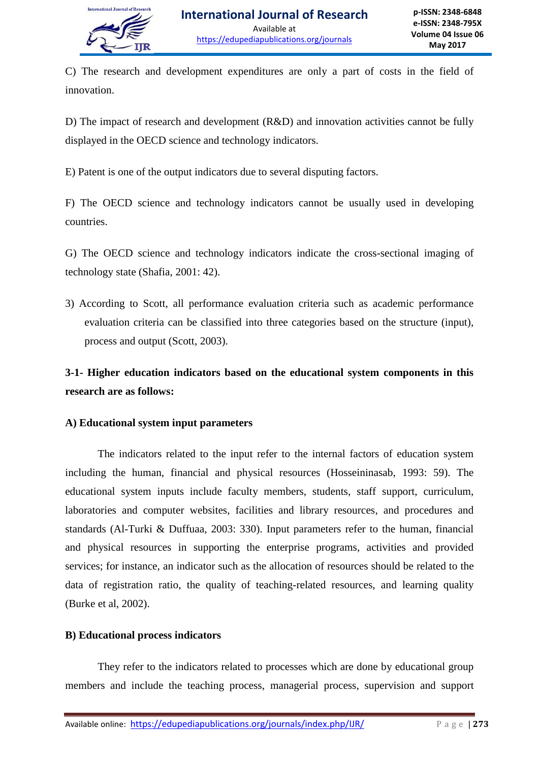

C) The research and development expenditures are only a part of costs in the field of innovation.

D) The impact of research and development (R&D) and innovation activities cannot be fully displayed in the OECD science and technology indicators.

E) Patent is one of the output indicators due to several disputing factors.

F) The OECD science and technology indicators cannot be usually used in developing countries.

G) The OECD science and technology indicators indicate the cross-sectional imaging of technology state (Shafia, 2001: 42).

3) According to Scott, all performance evaluation criteria such as academic performance evaluation criteria can be classified into three categories based on the structure (input), process and output (Scott, 2003).

**3-1- Higher education indicators based on the educational system components in this research are as follows:**

# **A) Educational system input parameters**

The indicators related to the input refer to the internal factors of education system including the human, financial and physical resources (Hosseininasab, 1993: 59). The educational system inputs include faculty members, students, staff support, curriculum, laboratories and computer websites, facilities and library resources, and procedures and standards (Al-Turki & Duffuaa, 2003: 330). Input parameters refer to the human, financial and physical resources in supporting the enterprise programs, activities and provided services; for instance, an indicator such as the allocation of resources should be related to the data of registration ratio, the quality of teaching-related resources, and learning quality (Burke et al, 2002).

# **B) Educational process indicators**

They refer to the indicators related to processes which are done by educational group members and include the teaching process, managerial process, supervision and support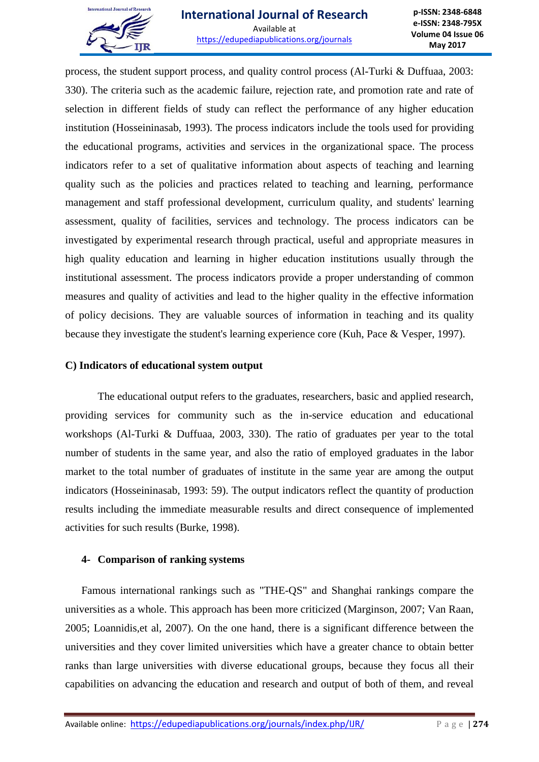

process, the student support process, and quality control process (Al-Turki & Duffuaa, 2003: 330). The criteria such as the academic failure, rejection rate, and promotion rate and rate of selection in different fields of study can reflect the performance of any higher education institution (Hosseininasab, 1993). The process indicators include the tools used for providing the educational programs, activities and services in the organizational space. The process indicators refer to a set of qualitative information about aspects of teaching and learning quality such as the policies and practices related to teaching and learning, performance management and staff professional development, curriculum quality, and students' learning assessment, quality of facilities, services and technology. The process indicators can be investigated by experimental research through practical, useful and appropriate measures in high quality education and learning in higher education institutions usually through the institutional assessment. The process indicators provide a proper understanding of common measures and quality of activities and lead to the higher quality in the effective information of policy decisions. They are valuable sources of information in teaching and its quality because they investigate the student's learning experience core (Kuh, Pace & Vesper, 1997).

### **C) Indicators of educational system output**

The educational output refers to the graduates, researchers, basic and applied research, providing services for community such as the in-service education and educational workshops (Al-Turki & Duffuaa, 2003, 330). The ratio of graduates per year to the total number of students in the same year, and also the ratio of employed graduates in the labor market to the total number of graduates of institute in the same year are among the output indicators (Hosseininasab, 1993: 59). The output indicators reflect the quantity of production results including the immediate measurable results and direct consequence of implemented activities for such results (Burke, 1998).

#### **4- Comparison of ranking systems**

Famous international rankings such as "THE-QS" and Shanghai rankings compare the universities as a whole. This approach has been more criticized (Marginson, 2007; Van Raan, 2005; Loannidis,et al, 2007). On the one hand, there is a significant difference between the universities and they cover limited universities which have a greater chance to obtain better ranks than large universities with diverse educational groups, because they focus all their capabilities on advancing the education and research and output of both of them, and reveal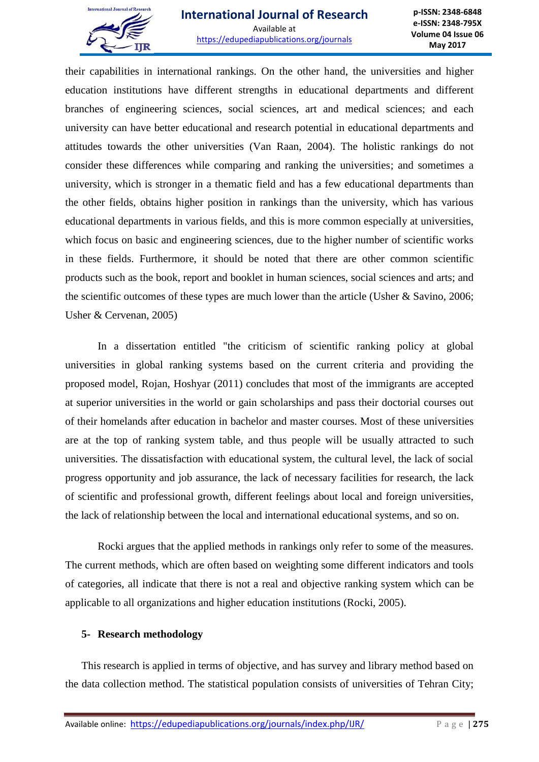

their capabilities in international rankings. On the other hand, the universities and higher education institutions have different strengths in educational departments and different branches of engineering sciences, social sciences, art and medical sciences; and each university can have better educational and research potential in educational departments and attitudes towards the other universities (Van Raan, 2004). The holistic rankings do not consider these differences while comparing and ranking the universities; and sometimes a university, which is stronger in a thematic field and has a few educational departments than the other fields, obtains higher position in rankings than the university, which has various educational departments in various fields, and this is more common especially at universities, which focus on basic and engineering sciences, due to the higher number of scientific works in these fields. Furthermore, it should be noted that there are other common scientific products such as the book, report and booklet in human sciences, social sciences and arts; and the scientific outcomes of these types are much lower than the article (Usher & Savino, 2006; Usher & Cervenan, 2005)

In a dissertation entitled "the criticism of scientific ranking policy at global universities in global ranking systems based on the current criteria and providing the proposed model, Rojan, Hoshyar (2011) concludes that most of the immigrants are accepted at superior universities in the world or gain scholarships and pass their doctorial courses out of their homelands after education in bachelor and master courses. Most of these universities are at the top of ranking system table, and thus people will be usually attracted to such universities. The dissatisfaction with educational system, the cultural level, the lack of social progress opportunity and job assurance, the lack of necessary facilities for research, the lack of scientific and professional growth, different feelings about local and foreign universities, the lack of relationship between the local and international educational systems, and so on.

Rocki argues that the applied methods in rankings only refer to some of the measures. The current methods, which are often based on weighting some different indicators and tools of categories, all indicate that there is not a real and objective ranking system which can be applicable to all organizations and higher education institutions (Rocki, 2005).

# **5- Research methodology**

This research is applied in terms of objective, and has survey and library method based on the data collection method. The statistical population consists of universities of Tehran City;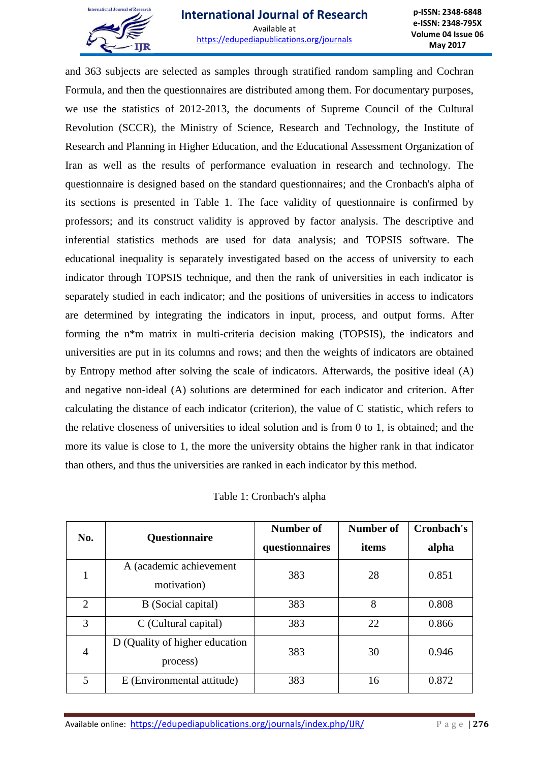

and 363 subjects are selected as samples through stratified random sampling and Cochran Formula, and then the questionnaires are distributed among them. For documentary purposes, we use the statistics of 2012-2013, the documents of Supreme Council of the Cultural Revolution (SCCR), the Ministry of Science, Research and Technology, the Institute of Research and Planning in Higher Education, and the Educational Assessment Organization of Iran as well as the results of performance evaluation in research and technology. The questionnaire is designed based on the standard questionnaires; and the Cronbach's alpha of its sections is presented in Table 1. The face validity of questionnaire is confirmed by professors; and its construct validity is approved by factor analysis. The descriptive and inferential statistics methods are used for data analysis; and TOPSIS software. The educational inequality is separately investigated based on the access of university to each indicator through TOPSIS technique, and then the rank of universities in each indicator is separately studied in each indicator; and the positions of universities in access to indicators are determined by integrating the indicators in input, process, and output forms. After forming the n\*m matrix in multi-criteria decision making (TOPSIS), the indicators and universities are put in its columns and rows; and then the weights of indicators are obtained by Entropy method after solving the scale of indicators. Afterwards, the positive ideal (A) and negative non-ideal (A) solutions are determined for each indicator and criterion. After calculating the distance of each indicator (criterion), the value of C statistic, which refers to the relative closeness of universities to ideal solution and is from 0 to 1, is obtained; and the more its value is close to 1, the more the university obtains the higher rank in that indicator than others, and thus the universities are ranked in each indicator by this method.

| No.            | Questionnaire                  | Number of      | <b>Number of</b> | Cronbach's |
|----------------|--------------------------------|----------------|------------------|------------|
|                |                                | questionnaires | items            | alpha      |
| $\mathbf{1}$   | A (academic achievement        | 383            | 28               | 0.851      |
|                | motivation)                    |                |                  |            |
| $\overline{2}$ | B (Social capital)             | 383            | 8                | 0.808      |
| 3              | C (Cultural capital)           | 383            | 22               | 0.866      |
| $\overline{4}$ | D (Quality of higher education | 383            | 30               | 0.946      |
|                | process)                       |                |                  |            |
| 5              | E (Environmental attitude)     | 383            | 16               | 0.872      |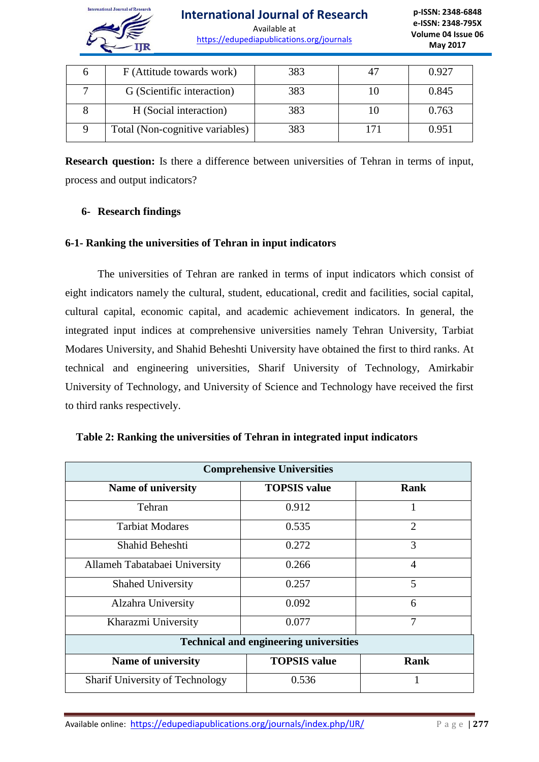

**International Journal of Research** Available at

https://edupediapublications.org/journals

| F (Attitude towards work)       | 383 | $4^{\circ}$ | 0.927 |
|---------------------------------|-----|-------------|-------|
| G (Scientific interaction)      | 383 |             | 0.845 |
| H (Social interaction)          | 383 |             | 0.763 |
| Total (Non-cognitive variables) | 383 |             | 0.951 |

**Research question:** Is there a difference between universities of Tehran in terms of input, process and output indicators?

### **6- Research findings**

### **6-1- Ranking the universities of Tehran in input indicators**

The universities of Tehran are ranked in terms of input indicators which consist of eight indicators namely the cultural, student, educational, credit and facilities, social capital, cultural capital, economic capital, and academic achievement indicators. In general, the integrated input indices at comprehensive universities namely Tehran University, Tarbiat Modares University, and Shahid Beheshti University have obtained the first to third ranks. At technical and engineering universities, Sharif University of Technology, Amirkabir University of Technology, and University of Science and Technology have received the first to third ranks respectively.

| <b>Comprehensive Universities</b>             |                     |      |  |
|-----------------------------------------------|---------------------|------|--|
| <b>Name of university</b>                     | <b>TOPSIS</b> value | Rank |  |
| Tehran                                        | 0.912               |      |  |
| <b>Tarbiat Modares</b>                        | 0.535               | 2    |  |
| Shahid Beheshti                               | 0.272               | 3    |  |
| Allameh Tabatabaei University                 | 0.266               | 4    |  |
| <b>Shahed University</b>                      | 0.257               | 5    |  |
| Alzahra University                            | 0.092               | 6    |  |
| Kharazmi University                           | 0.077               | 7    |  |
| <b>Technical and engineering universities</b> |                     |      |  |
| <b>Name of university</b>                     | <b>TOPSIS</b> value | Rank |  |
| <b>Sharif University of Technology</b>        | 0.536               |      |  |

#### **Table 2: Ranking the universities of Tehran in integrated input indicators**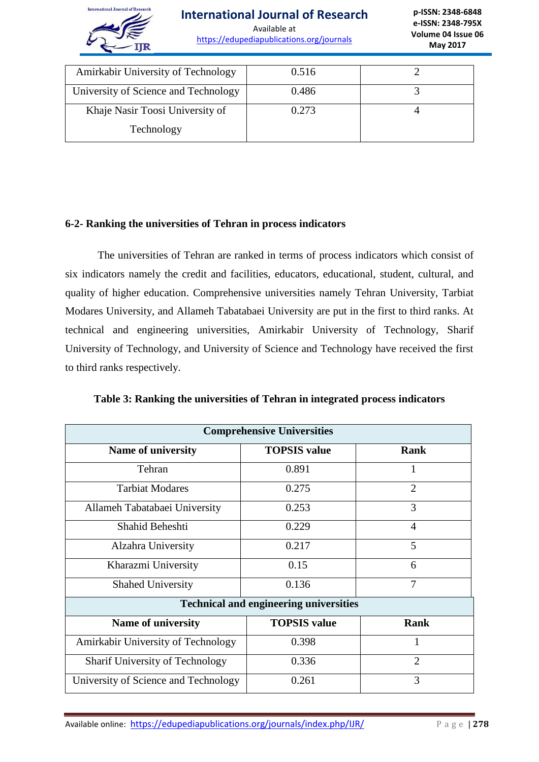

| Amirkabir University of Technology   | 0.516 |  |
|--------------------------------------|-------|--|
| University of Science and Technology | 0.486 |  |
| Khaje Nasir Toosi University of      | 0.273 |  |
| Technology                           |       |  |

### **6-2- Ranking the universities of Tehran in process indicators**

The universities of Tehran are ranked in terms of process indicators which consist of six indicators namely the credit and facilities, educators, educational, student, cultural, and quality of higher education. Comprehensive universities namely Tehran University, Tarbiat Modares University, and Allameh Tabatabaei University are put in the first to third ranks. At technical and engineering universities, Amirkabir University of Technology, Sharif University of Technology, and University of Science and Technology have received the first to third ranks respectively.

| <b>Comprehensive Universities</b>             |                     |                |  |
|-----------------------------------------------|---------------------|----------------|--|
| <b>Name of university</b>                     | <b>TOPSIS</b> value | Rank           |  |
| Tehran                                        | 0.891               |                |  |
| <b>Tarbiat Modares</b>                        | 0.275               | $\overline{2}$ |  |
| Allameh Tabatabaei University                 | 0.253               | 3              |  |
| Shahid Beheshti                               | 0.229               | $\overline{4}$ |  |
| Alzahra University                            | 0.217               | 5              |  |
| Kharazmi University                           | 0.15                | 6              |  |
| <b>Shahed University</b>                      | 0.136               | 7              |  |
| <b>Technical and engineering universities</b> |                     |                |  |
| <b>Name of university</b>                     | <b>TOPSIS</b> value | <b>Rank</b>    |  |
| Amirkabir University of Technology            | 0.398               | 1              |  |
| <b>Sharif University of Technology</b>        | 0.336               | $\overline{2}$ |  |
| University of Science and Technology          | 0.261               | 3              |  |

**Table 3: Ranking the universities of Tehran in integrated process indicators**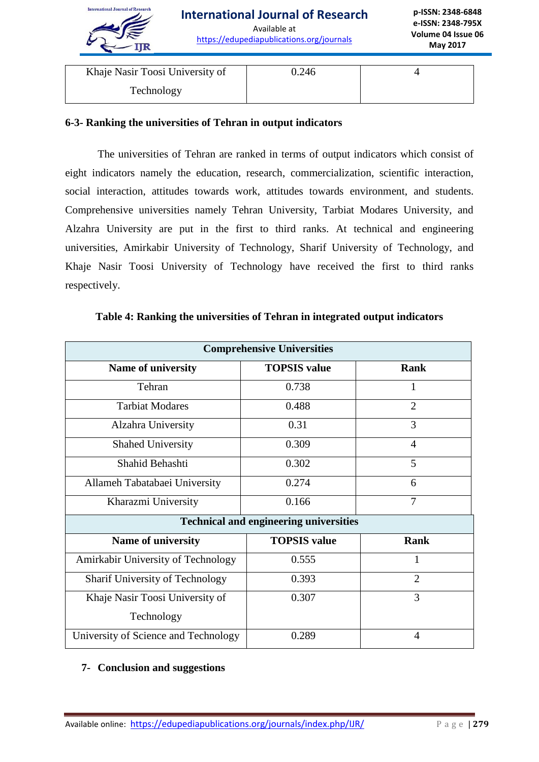

Available at https://edupediapublications.org/journals

| Khaje Nasir Toosi University of | 0.246 |  |
|---------------------------------|-------|--|
| Technology                      |       |  |

### **6-3- Ranking the universities of Tehran in output indicators**

The universities of Tehran are ranked in terms of output indicators which consist of eight indicators namely the education, research, commercialization, scientific interaction, social interaction, attitudes towards work, attitudes towards environment, and students. Comprehensive universities namely Tehran University, Tarbiat Modares University, and Alzahra University are put in the first to third ranks. At technical and engineering universities, Amirkabir University of Technology, Sharif University of Technology, and Khaje Nasir Toosi University of Technology have received the first to third ranks respectively.

| <b>Comprehensive Universities</b>             |                     |                |  |  |
|-----------------------------------------------|---------------------|----------------|--|--|
| Name of university                            | <b>TOPSIS</b> value | Rank           |  |  |
| Tehran                                        | 0.738               | $\mathbf{1}$   |  |  |
| <b>Tarbiat Modares</b>                        | 0.488               | $\overline{2}$ |  |  |
| Alzahra University                            | 0.31                | 3              |  |  |
| <b>Shahed University</b>                      | 0.309               | 4              |  |  |
| Shahid Behashti                               | 0.302               | 5              |  |  |
| Allameh Tabatabaei University                 | 0.274               | 6              |  |  |
| Kharazmi University                           | 0.166               | 7              |  |  |
| <b>Technical and engineering universities</b> |                     |                |  |  |
| <b>Name of university</b>                     | <b>TOPSIS</b> value | <b>Rank</b>    |  |  |
| Amirkabir University of Technology            | 0.555               | 1              |  |  |
| <b>Sharif University of Technology</b>        | 0.393               | $\overline{2}$ |  |  |
| Khaje Nasir Toosi University of               | 0.307               | 3              |  |  |
| Technology                                    |                     |                |  |  |
| University of Science and Technology          | 0.289               | $\overline{4}$ |  |  |

# **Table 4: Ranking the universities of Tehran in integrated output indicators**

# **7- Conclusion and suggestions**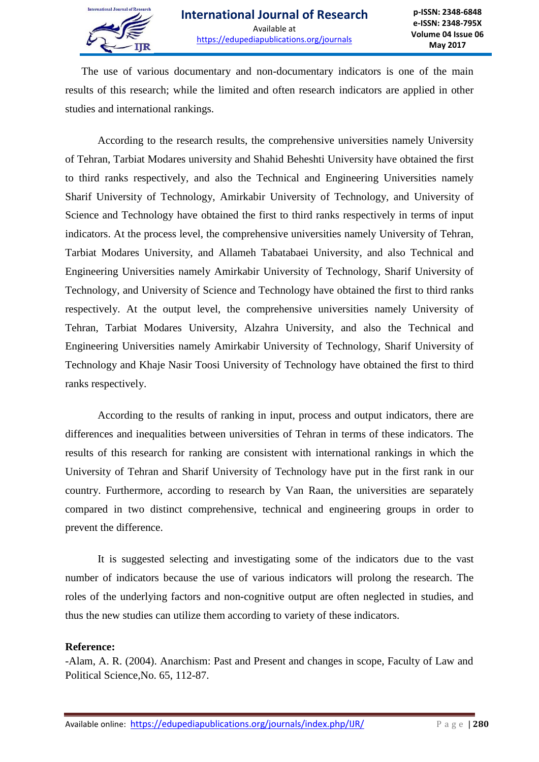

The use of various documentary and non-documentary indicators is one of the main results of this research; while the limited and often research indicators are applied in other studies and international rankings.

According to the research results, the comprehensive universities namely University of Tehran, Tarbiat Modares university and Shahid Beheshti University have obtained the first to third ranks respectively, and also the Technical and Engineering Universities namely Sharif University of Technology, Amirkabir University of Technology, and University of Science and Technology have obtained the first to third ranks respectively in terms of input indicators. At the process level, the comprehensive universities namely University of Tehran, Tarbiat Modares University, and Allameh Tabatabaei University, and also Technical and Engineering Universities namely Amirkabir University of Technology, Sharif University of Technology, and University of Science and Technology have obtained the first to third ranks respectively. At the output level, the comprehensive universities namely University of Tehran, Tarbiat Modares University, Alzahra University, and also the Technical and Engineering Universities namely Amirkabir University of Technology, Sharif University of Technology and Khaje Nasir Toosi University of Technology have obtained the first to third ranks respectively.

According to the results of ranking in input, process and output indicators, there are differences and inequalities between universities of Tehran in terms of these indicators. The results of this research for ranking are consistent with international rankings in which the University of Tehran and Sharif University of Technology have put in the first rank in our country. Furthermore, according to research by Van Raan, the universities are separately compared in two distinct comprehensive, technical and engineering groups in order to prevent the difference.

It is suggested selecting and investigating some of the indicators due to the vast number of indicators because the use of various indicators will prolong the research. The roles of the underlying factors and non-cognitive output are often neglected in studies, and thus the new studies can utilize them according to variety of these indicators.

# **Reference:**

-Alam, A. R. (2004). Anarchism: Past and Present and changes in scope, Faculty of Law and Political Science,No. 65, 112-87.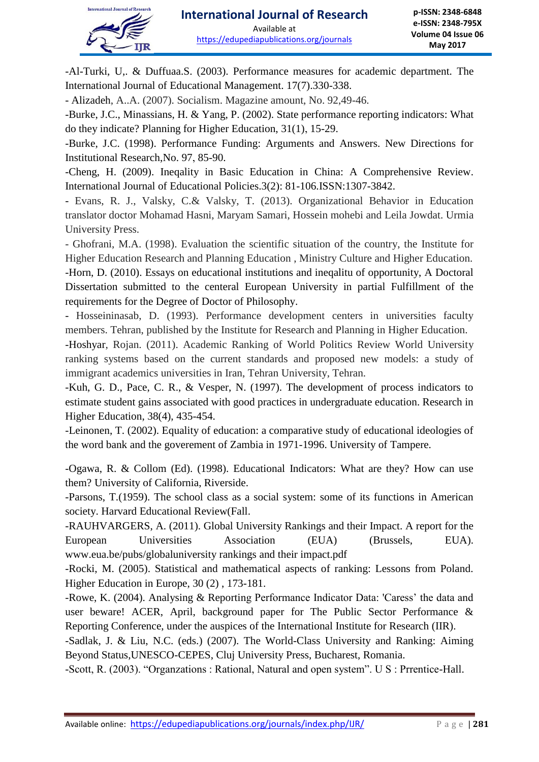

-Al-Turki, U,. & Duffuaa.S. (2003). Performance measures for academic department. The International Journal of Educational Management. 17(7).330-338.

- Alizadeh, A..A. (2007). Socialism. Magazine amount, No. 92,49-46.

-Burke, J.C., Minassians, H. & Yang, P. (2002). State performance reporting indicators: What do they indicate? Planning for Higher Education, 31(1), 15-29.

-Burke, J.C. (1998). Performance Funding: Arguments and Answers. New Directions for Institutional Research,No. 97, 85-90.

-Cheng, H. (2009). Ineqality in Basic Education in China: A Comprehensive Review. International Journal of Educational Policies.3(2): 81-106.ISSN:1307-3842.

- Evans, R. J., Valsky, C.& Valsky, T. (2013). Organizational Behavior in Education translator doctor Mohamad Hasni, Maryam Samari, Hossein mohebi and Leila Jowdat. Urmia University Press.

- Ghofrani, M.A. (1998). Evaluation the scientific situation of the country, the Institute for Higher Education Research and Planning Education , Ministry Culture and Higher Education. -Horn, D. (2010). Essays on educational institutions and ineqalitu of opportunity, A Doctoral Dissertation submitted to the centeral European University in partial Fulfillment of the requirements for the Degree of Doctor of Philosophy.

- Hosseininasab, D. (1993). Performance development centers in universities faculty members. Tehran, published by the Institute for Research and Planning in Higher Education.

-Hoshyar, Rojan. (2011). Academic Ranking of World Politics Review World University ranking systems based on the current standards and proposed new models: a study of immigrant academics universities in Iran, Tehran University, Tehran.

-Kuh, G. D., Pace, C. R., & Vesper, N. (1997). The development of process indicators to estimate student gains associated with good practices in undergraduate education. Research in Higher Education, 38(4), 435-454.

-Leinonen, T. (2002). Equality of education: a comparative study of educational ideologies of the word bank and the goverement of Zambia in 1971-1996. University of Tampere.

-Ogawa, R. & Collom (Ed). (1998). Educational Indicators: What are they? How can use them? University of California, Riverside.

-Parsons, T.(1959). The school class as a social system: some of its functions in American society. Harvard Educational Review(Fall.

-RAUHVARGERS, A. (2011). Global University Rankings and their Impact. A report for the European Universities Association (EUA) (Brussels, EUA). [www.eua.be/pubs/globaluniversity](http://www.eua.be/pubs/globaluniversity%20rankings%20and%20their%20impact.pdf) rankings and their impact.pdf

-Rocki, M. (2005). Statistical and mathematical aspects of ranking: Lessons from Poland. Higher Education in Europe, 30 (2) , 173-181.

-Rowe, K. (2004). Analysing & Reporting Performance Indicator Data: 'Caress' the data and user beware! ACER, April, background paper for The Public Sector Performance & Reporting Conference, under the auspices of the International Institute for Research (IIR).

-Sadlak, J. & Liu, N.C. (eds.) (2007). The World-Class University and Ranking: Aiming Beyond Status,UNESCO-CEPES, Cluj University Press, Bucharest, Romania.

-Scott, R. (2003). "Organzations : Rational, Natural and open system". U S : Prrentice-Hall.